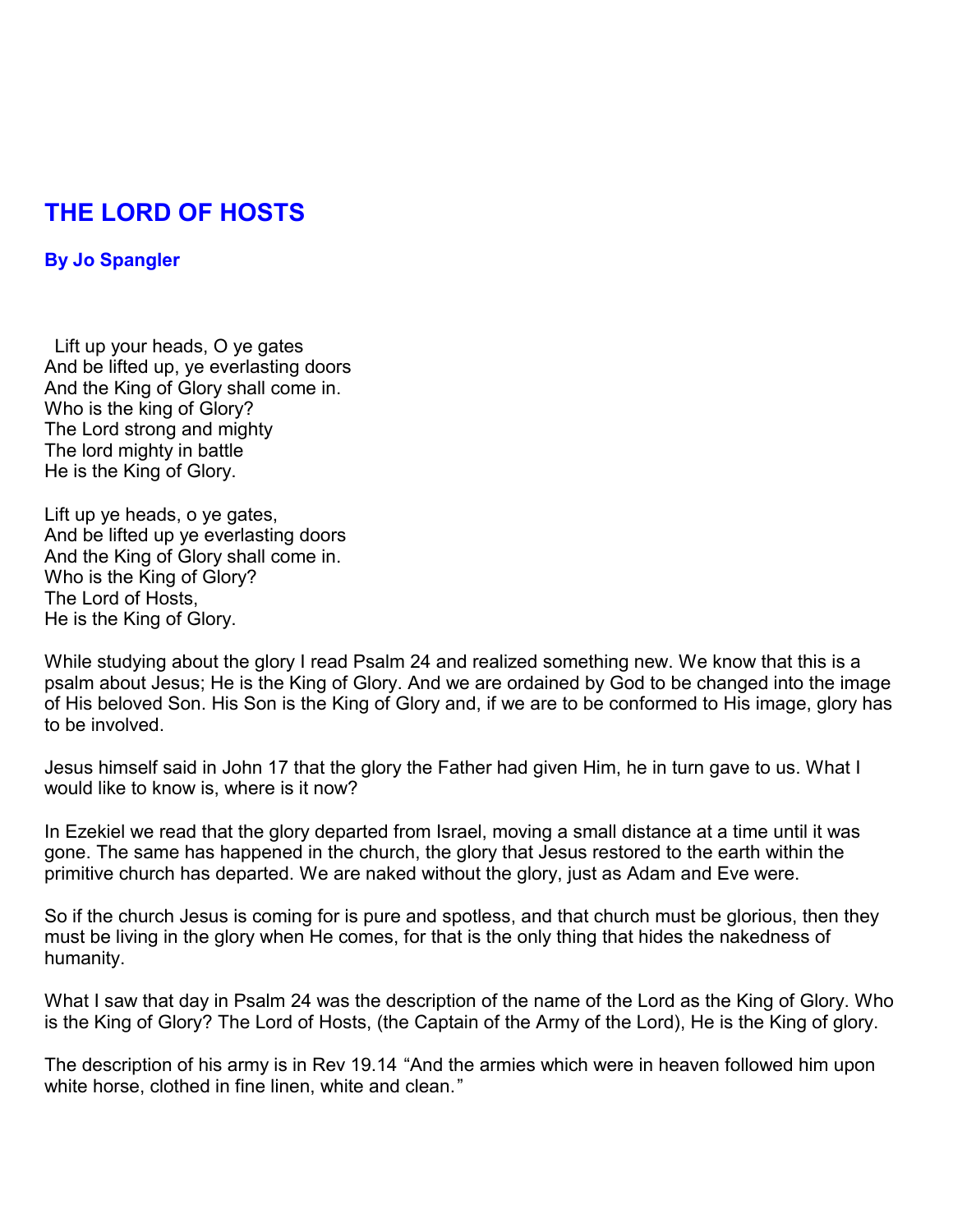## **THE LORD OF HOSTS**

## **By Jo Spangler**

 Lift up your heads, O ye gates And be lifted up, ye everlasting doors And the King of Glory shall come in. Who is the king of Glory? The Lord strong and mighty The lord mighty in battle He is the King of Glory.

Lift up ye heads, o ye gates, And be lifted up ye everlasting doors And the King of Glory shall come in. Who is the King of Glory? The Lord of Hosts, He is the King of Glory.

While studying about the glory I read Psalm 24 and realized something new. We know that this is a psalm about Jesus; He is the King of Glory. And we are ordained by God to be changed into the image of His beloved Son. His Son is the King of Glory and, if we are to be conformed to His image, glory has to be involved.

Jesus himself said in John 17 that the glory the Father had given Him, he in turn gave to us. What I would like to know is, where is it now?

In Ezekiel we read that the glory departed from Israel, moving a small distance at a time until it was gone. The same has happened in the church, the glory that Jesus restored to the earth within the primitive church has departed. We are naked without the glory, just as Adam and Eve were.

So if the church Jesus is coming for is pure and spotless, and that church must be glorious, then they must be living in the glory when He comes, for that is the only thing that hides the nakedness of humanity.

What I saw that day in Psalm 24 was the description of the name of the Lord as the King of Glory. Who is the King of Glory? The Lord of Hosts, (the Captain of the Army of the Lord), He is the King of glory.

The description of his army is in Rev 19.14 "And the armies which were in heaven followed him upon white horse, clothed in fine linen, white and clean."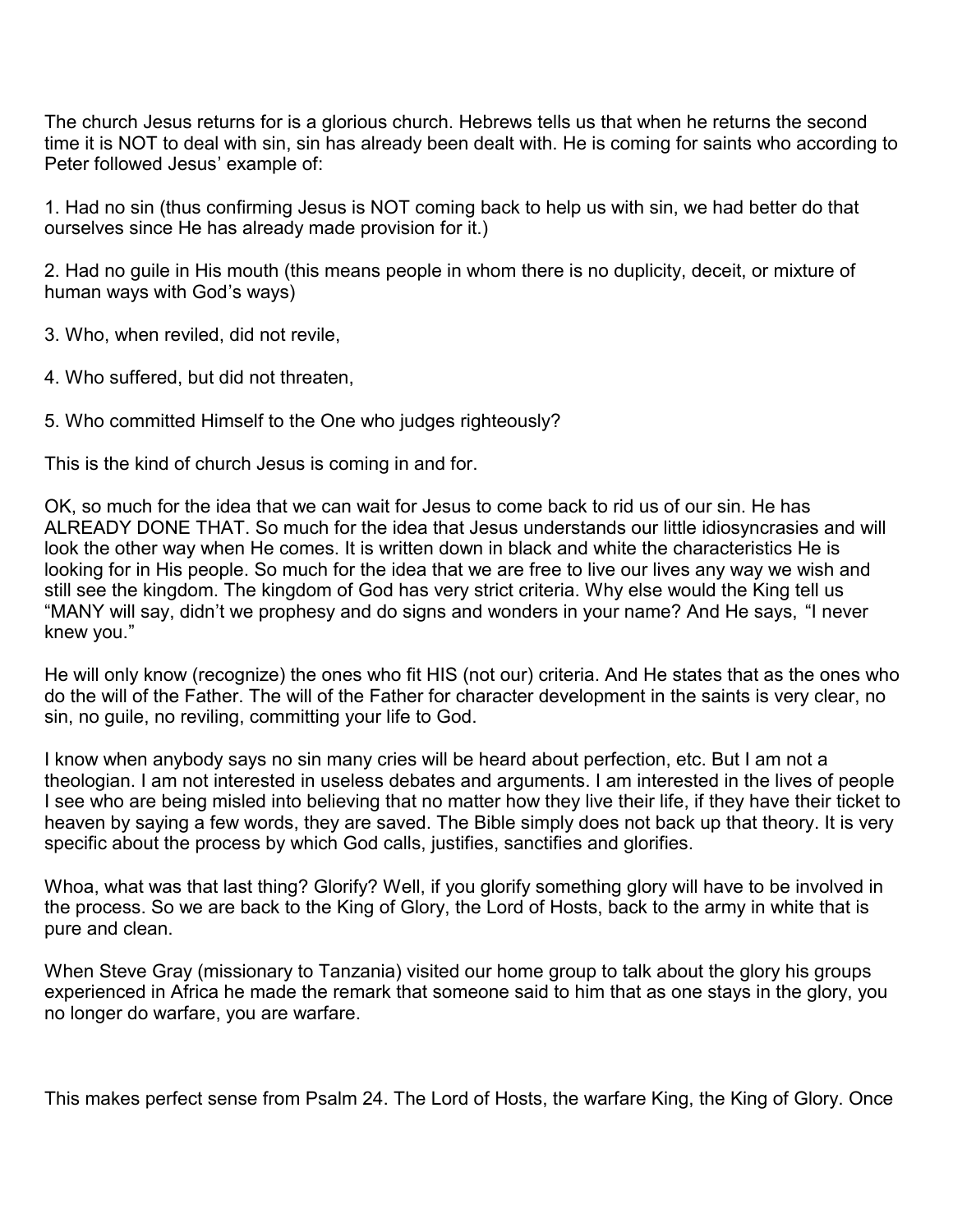The church Jesus returns for is a glorious church. Hebrews tells us that when he returns the second time it is NOT to deal with sin, sin has already been dealt with. He is coming for saints who according to Peter followed Jesus' example of:

1. Had no sin (thus confirming Jesus is NOT coming back to help us with sin, we had better do that ourselves since He has already made provision for it.)

2. Had no guile in His mouth (this means people in whom there is no duplicity, deceit, or mixture of human ways with God's ways)

- 3. Who, when reviled, did not revile,
- 4. Who suffered, but did not threaten,
- 5. Who committed Himself to the One who judges righteously?

This is the kind of church Jesus is coming in and for.

OK, so much for the idea that we can wait for Jesus to come back to rid us of our sin. He has ALREADY DONE THAT. So much for the idea that Jesus understands our little idiosyncrasies and will look the other way when He comes. It is written down in black and white the characteristics He is looking for in His people. So much for the idea that we are free to live our lives any way we wish and still see the kingdom. The kingdom of God has very strict criteria. Why else would the King tell us "MANY will say, didn't we prophesy and do signs and wonders in your name? And He says, "I never knew you."

He will only know (recognize) the ones who fit HIS (not our) criteria. And He states that as the ones who do the will of the Father. The will of the Father for character development in the saints is very clear, no sin, no guile, no reviling, committing your life to God.

I know when anybody says no sin many cries will be heard about perfection, etc. But I am not a theologian. I am not interested in useless debates and arguments. I am interested in the lives of people I see who are being misled into believing that no matter how they live their life, if they have their ticket to heaven by saying a few words, they are saved. The Bible simply does not back up that theory. It is very specific about the process by which God calls, justifies, sanctifies and glorifies.

Whoa, what was that last thing? Glorify? Well, if you glorify something glory will have to be involved in the process. So we are back to the King of Glory, the Lord of Hosts, back to the army in white that is pure and clean.

When Steve Gray (missionary to Tanzania) visited our home group to talk about the glory his groups experienced in Africa he made the remark that someone said to him that as one stays in the glory, you no longer do warfare, you are warfare.

This makes perfect sense from Psalm 24. The Lord of Hosts, the warfare King, the King of Glory. Once